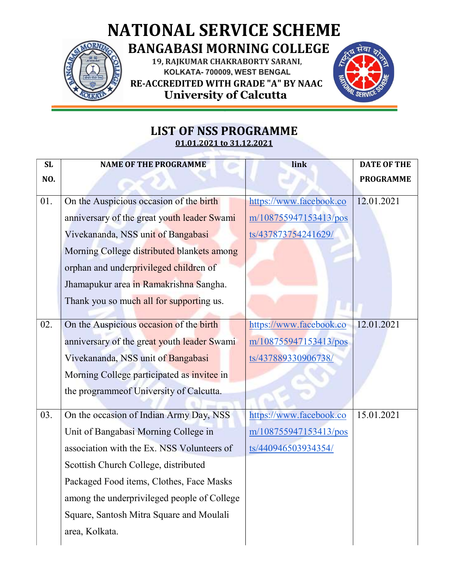



## LIST OF NSS PROGRAMME 01.01.2021 to 31.12.2021

| SL  | <b>NAME OF THE PROGRAMME</b>                | link                    | <b>DATE OF THE</b> |
|-----|---------------------------------------------|-------------------------|--------------------|
| NO. |                                             |                         | <b>PROGRAMME</b>   |
| 01. | On the Auspicious occasion of the birth     | https://www.facebook.co | 12.01.2021         |
|     | anniversary of the great youth leader Swami | m/108755947153413/pos   |                    |
|     | Vivekananda, NSS unit of Bangabasi          | ts/437873754241629/     |                    |
|     | Morning College distributed blankets among  |                         |                    |
|     | orphan and underprivileged children of      |                         |                    |
|     | Jhamapukur area in Ramakrishna Sangha.      |                         |                    |
|     | Thank you so much all for supporting us.    |                         |                    |
| 02. | On the Auspicious occasion of the birth     | https://www.facebook.co | 12.01.2021         |
|     |                                             |                         |                    |
|     | anniversary of the great youth leader Swami | m/108755947153413/pos   |                    |
|     | Vivekananda, NSS unit of Bangabasi          | ts/437889330906738/     |                    |
|     | Morning College participated as invitee in  |                         |                    |
|     | the programme of University of Calcutta.    |                         |                    |
| 03. | On the occasion of Indian Army Day, NSS     | https://www.facebook.co | 15.01.2021         |
|     | Unit of Bangabasi Morning College in        | m/108755947153413/pos   |                    |
|     | association with the Ex. NSS Volunteers of  | ts/440946503934354/     |                    |
|     | Scottish Church College, distributed        |                         |                    |
|     | Packaged Food items, Clothes, Face Masks    |                         |                    |
|     | among the underprivileged people of College |                         |                    |
|     | Square, Santosh Mitra Square and Moulali    |                         |                    |
|     | area, Kolkata.                              |                         |                    |
|     |                                             |                         |                    |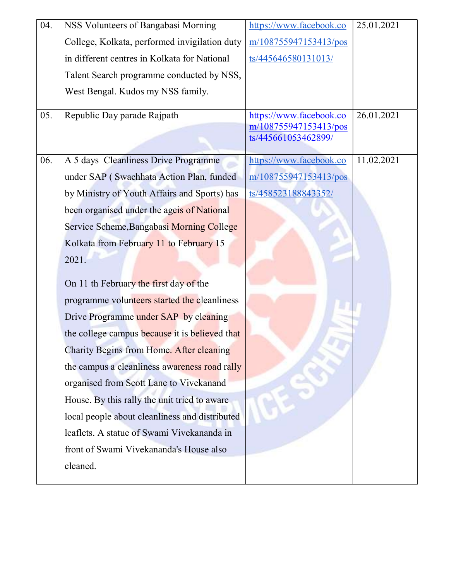| 04. | NSS Volunteers of Bangabasi Morning             | https://www.facebook.co | 25.01.2021 |
|-----|-------------------------------------------------|-------------------------|------------|
|     | College, Kolkata, performed invigilation duty   | m/108755947153413/pos   |            |
|     | in different centres in Kolkata for National    | ts/445646580131013/     |            |
|     | Talent Search programme conducted by NSS,       |                         |            |
|     | West Bengal. Kudos my NSS family.               |                         |            |
| 05. | Republic Day parade Rajpath                     | https://www.facebook.co | 26.01.2021 |
|     |                                                 | m/108755947153413/pos   |            |
|     |                                                 | ts/445661053462899/     |            |
| 06. | A 5 days Cleanliness Drive Programme            | https://www.facebook.co | 11.02.2021 |
|     | under SAP (Swachhata Action Plan, funded        | m/108755947153413/pos   |            |
|     | by Ministry of Youth Affairs and Sports) has    | ts/458523188843352/     |            |
|     | been organised under the ageis of National      |                         |            |
|     | Service Scheme, Bangabasi Morning College       |                         |            |
|     | Kolkata from February 11 to February 15         |                         |            |
|     | 2021.                                           |                         |            |
|     | On 11 th February the first day of the          |                         |            |
|     | programme volunteers started the cleanliness    |                         |            |
|     | Drive Programme under SAP by cleaning           |                         |            |
|     | the college campus because it is believed that  |                         |            |
|     | <b>Charity Begins from Home. After cleaning</b> |                         |            |
|     | the campus a cleanliness awareness road rally   |                         |            |
|     | organised from Scott Lane to Vivekanand         |                         |            |
|     | House. By this rally the unit tried to aware    |                         |            |
|     | local people about cleanliness and distributed  |                         |            |
|     | leaflets. A statue of Swami Vivekananda in      |                         |            |
|     | front of Swami Vivekananda's House also         |                         |            |
|     | cleaned.                                        |                         |            |
|     |                                                 |                         |            |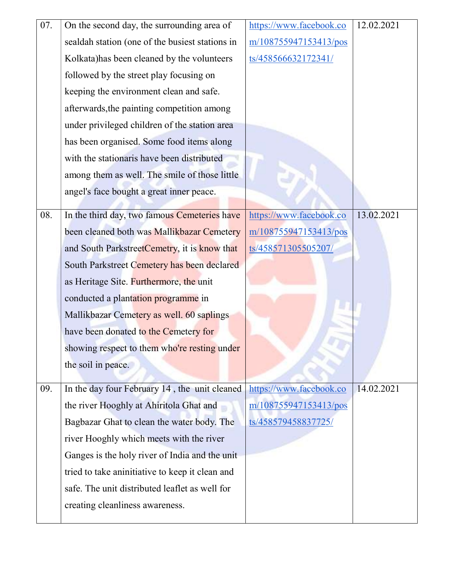| 07. | On the second day, the surrounding area of      | https://www.facebook.co | 12.02.2021 |
|-----|-------------------------------------------------|-------------------------|------------|
|     | sealdah station (one of the busiest stations in | m/108755947153413/pos   |            |
|     | Kolkata) has been cleaned by the volunteers     | ts/458566632172341/     |            |
|     | followed by the street play focusing on         |                         |            |
|     | keeping the environment clean and safe.         |                         |            |
|     | afterwards, the painting competition among      |                         |            |
|     | under privileged children of the station area   |                         |            |
|     | has been organised. Some food items along       |                         |            |
|     | with the stationaris have been distributed      |                         |            |
|     | among them as well. The smile of those little   |                         |            |
|     | angel's face bought a great inner peace.        |                         |            |
| 08. | In the third day, two famous Cemeteries have    | https://www.facebook.co | 13.02.2021 |
|     |                                                 |                         |            |
|     | been cleaned both was Mallikbazar Cemetery      | m/108755947153413/pos   |            |
|     | and South ParkstreetCemetry, it is know that    | ts/458571305505207/     |            |
|     | South Parkstreet Cemetery has been declared     |                         |            |
|     | as Heritage Site. Furthermore, the unit         |                         |            |
|     | conducted a plantation programme in             |                         |            |
|     | Mallikbazar Cemetery as well. 60 saplings       |                         |            |
|     | have been donated to the Cemetery for           |                         |            |
|     | showing respect to them who're resting under    |                         |            |
|     | the soil in peace.                              |                         |            |
| 09. | In the day four February 14, the unit cleaned   | https://www.facebook.co | 14.02.2021 |
|     | the river Hooghly at Ahiritola Ghat and         | m/108755947153413/pos   |            |
|     | Bagbazar Ghat to clean the water body. The      | ts/458579458837725/     |            |
|     | river Hooghly which meets with the river        |                         |            |
|     | Ganges is the holy river of India and the unit  |                         |            |
|     |                                                 |                         |            |
|     | tried to take aninitiative to keep it clean and |                         |            |
|     | safe. The unit distributed leaflet as well for  |                         |            |
|     | creating cleanliness awareness.                 |                         |            |
|     |                                                 |                         |            |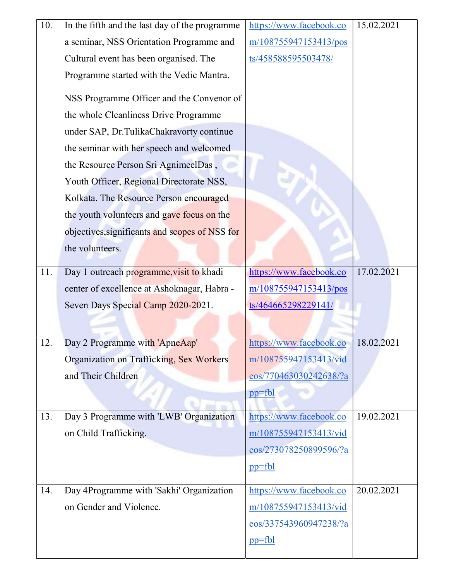| 10. | In the fifth and the last day of the programme | https://www.facebook.co | 15.02.2021 |
|-----|------------------------------------------------|-------------------------|------------|
|     | a seminar, NSS Orientation Programme and       | m/108755947153413/pos   |            |
|     | Cultural event has been organised. The         | ts/458588595503478/     |            |
|     | Programme started with the Vedic Mantra.       |                         |            |
|     | NSS Programme Officer and the Convenor of      |                         |            |
|     | the whole Cleanliness Drive Programme          |                         |            |
|     | under SAP, Dr.TulikaChakravorty continue       |                         |            |
|     | the seminar with her speech and welcomed       |                         |            |
|     | the Resource Person Sri AgnimeelDas,           |                         |            |
|     | Youth Officer, Regional Directorate NSS,       |                         |            |
|     | Kolkata. The Resource Person encouraged        |                         |            |
|     | the youth volunteers and gave focus on the     |                         |            |
|     | objectives, significants and scopes of NSS for |                         |            |
|     | the volunteers.                                |                         |            |
| 11. | Day 1 outreach programme, visit to khadi       | https://www.facebook.co | 17.02.2021 |
|     | center of excellence at Ashoknagar, Habra -    | m/108755947153413/pos   |            |
|     | Seven Days Special Camp 2020-2021.             | ts/464665298229141/     |            |
|     |                                                |                         |            |
| 12. | Day 2 Programme with 'ApneAap'                 | https://www.facebook.co | 18.02.2021 |
|     | Organization on Trafficking, Sex Workers       | m/108755947153413/vid   |            |
|     | and Their Children                             | eos/770463030242638/?a  |            |
|     |                                                | $pp=fbl$                |            |
| 13. | Day 3 Programme with 'LWB' Organization        | https://www.facebook.co | 19.02.2021 |
|     | on Child Trafficking.                          | m/108755947153413/vid   |            |
|     |                                                | eos/273078250899596/?a  |            |
|     |                                                | $pp=fb1$                |            |
| 14. | Day 4Programme with 'Sakhi' Organization       | https://www.facebook.co | 20.02.2021 |
|     | on Gender and Violence.                        | m/108755947153413/vid   |            |
|     |                                                | eos/337543960947238/?a  |            |
|     |                                                | $pp=fb1$                |            |
|     |                                                |                         |            |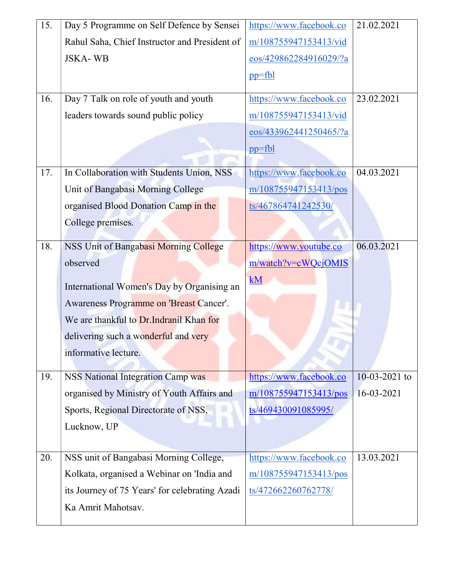| 15. | Day 5 Programme on Self Defence by Sensei      | https://www.facebook.co | 21.02.2021      |
|-----|------------------------------------------------|-------------------------|-----------------|
|     | Rahul Saha, Chief Instructor and President of  | m/108755947153413/vid   |                 |
|     | <b>JSKA-WB</b>                                 | eos/429862284916029/?a  |                 |
|     |                                                | $pp=fbl$                |                 |
| 16. | Day 7 Talk on role of youth and youth          | https://www.facebook.co | 23.02.2021      |
|     |                                                |                         |                 |
|     | leaders towards sound public policy            | m/108755947153413/vid   |                 |
|     |                                                | eos/433962441250465/?a  |                 |
|     |                                                | $pp=fb1$                |                 |
| 17. | In Collaboration with Students Union, NSS      | https://www.facebook.co | 04.03.2021      |
|     | Unit of Bangabasi Morning College              | m/108755947153413/pos   |                 |
|     | organised Blood Donation Camp in the           | ts/467864741242530/     |                 |
|     | College premises.                              |                         |                 |
|     |                                                |                         |                 |
| 18. | NSS Unit of Bangabasi Morning College          | https://www.youtube.co  | 06.03.2021      |
|     | observed                                       | m/watch?v=cWQcjOMIS     |                 |
|     | International Women's Day by Organising an     | kM                      |                 |
|     |                                                |                         |                 |
|     | Awareness Programme on 'Breast Cancer'.        |                         |                 |
|     | We are thankful to Dr. Indranil Khan for       |                         |                 |
|     | delivering such a wonderful and very           |                         |                 |
|     | informative lecture.                           |                         |                 |
|     |                                                |                         |                 |
| 19. | <b>NSS National Integration Camp was</b>       | https://www.facebook.co | $10-03-2021$ to |
|     | organised by Ministry of Youth Affairs and     | m/108755947153413/pos   | 16-03-2021      |
|     | Sports, Regional Directorate of NSS,           | ts/469430091085995/     |                 |
|     | Lucknow, UP                                    |                         |                 |
|     |                                                |                         |                 |
| 20. | NSS unit of Bangabasi Morning College,         | https://www.facebook.co | 13.03.2021      |
|     | Kolkata, organised a Webinar on 'India and     | m/108755947153413/pos   |                 |
|     | its Journey of 75 Years' for celebrating Azadi | ts/472662260762778/     |                 |
|     | Ka Amrit Mahotsav.                             |                         |                 |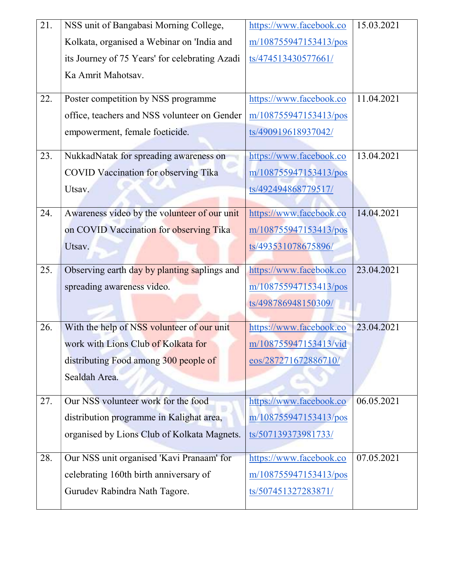| 21. | NSS unit of Bangabasi Morning College,         | https://www.facebook.co | 15.03.2021 |
|-----|------------------------------------------------|-------------------------|------------|
|     | Kolkata, organised a Webinar on 'India and     | m/108755947153413/pos   |            |
|     | its Journey of 75 Years' for celebrating Azadi | ts/474513430577661/     |            |
|     | Ka Amrit Mahotsav.                             |                         |            |
|     |                                                |                         |            |
| 22. | Poster competition by NSS programme            | https://www.facebook.co | 11.04.2021 |
|     | office, teachers and NSS volunteer on Gender   | m/108755947153413/pos   |            |
|     | empowerment, female foeticide.                 | ts/490919618937042/     |            |
| 23. | NukkadNatak for spreading awareness on         | https://www.facebook.co | 13.04.2021 |
|     | <b>COVID Vaccination for observing Tika</b>    | m/108755947153413/pos   |            |
|     | Utsav.                                         | ts/492494868779517/     |            |
|     |                                                |                         |            |
| 24. | Awareness video by the volunteer of our unit   | https://www.facebook.co | 14.04.2021 |
|     | on COVID Vaccination for observing Tika        | m/108755947153413/pos   |            |
|     | Utsav.                                         | ts/493531078675896/     |            |
| 25. | Observing earth day by planting saplings and   | https://www.facebook.co | 23.04.2021 |
|     | spreading awareness video.                     | m/108755947153413/pos   |            |
|     |                                                | ts/498786948150309/     |            |
|     |                                                |                         |            |
| 26. | With the help of NSS volunteer of our unit     | https://www.facebook.co | 23.04.2021 |
|     | work with Lions Club of Kolkata for            | m/108755947153413/vid   |            |
|     | distributing Food among 300 people of          | eos/287271672886710/    |            |
|     | Sealdah Area.                                  |                         |            |
| 27. | Our NSS volunteer work for the food            | https://www.facebook.co | 06.05.2021 |
|     | distribution programme in Kalighat area,       | m/108755947153413/pos   |            |
|     |                                                |                         |            |
|     | organised by Lions Club of Kolkata Magnets.    | ts/507139373981733/     |            |
| 28. | Our NSS unit organised 'Kavi Pranaam' for      | https://www.facebook.co | 07.05.2021 |
|     | celebrating 160th birth anniversary of         | m/108755947153413/pos   |            |
|     | Gurudev Rabindra Nath Tagore.                  | ts/507451327283871/     |            |
|     |                                                |                         |            |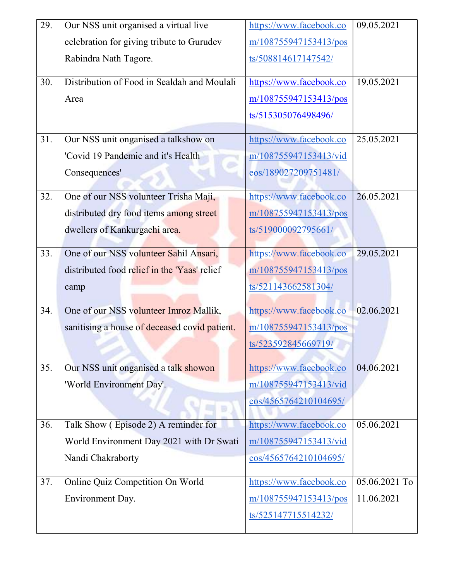| 29. | Our NSS unit organised a virtual live         | https://www.facebook.co | 09.05.2021    |
|-----|-----------------------------------------------|-------------------------|---------------|
|     | celebration for giving tribute to Gurudev     | m/108755947153413/pos   |               |
|     | Rabindra Nath Tagore.                         | ts/508814617147542/     |               |
| 30. | Distribution of Food in Sealdah and Moulali   | https://www.facebook.co | 19.05.2021    |
|     | Area                                          | m/108755947153413/pos   |               |
|     |                                               | ts/515305076498496/     |               |
| 31. | Our NSS unit onganised a talkshow on          | https://www.facebook.co | 25.05.2021    |
|     | 'Covid 19 Pandemic and it's Health            | m/108755947153413/vid   |               |
|     | Consequences'                                 | eos/189027209751481/    |               |
| 32. | One of our NSS volunteer Trisha Maji,         | https://www.facebook.co | 26.05.2021    |
|     | distributed dry food items among street       | m/108755947153413/pos   |               |
|     | dwellers of Kankurgachi area.                 | ts/519000092795661/     |               |
| 33. | One of our NSS volunteer Sahil Ansari,        | https://www.facebook.co | 29.05.2021    |
|     | distributed food relief in the 'Yaas' relief  | m/108755947153413/pos   |               |
|     | camp                                          | ts/521143662581304/     |               |
| 34. | One of our NSS volunteer Imroz Mallik,        | https://www.facebook.co | 02.06.2021    |
|     | sanitising a house of deceased covid patient. | m/108755947153413/pos   |               |
|     |                                               | ts/523592845669719/     |               |
| 35. | Our NSS unit onganised a talk showon          | https://www.facebook.co | 04.06.2021    |
|     | 'World Environment Day'.                      | m/108755947153413/vid   |               |
|     |                                               | eos/4565764210104695/   |               |
| 36. | Talk Show (Episode 2) A reminder for          | https://www.facebook.co | 05.06.2021    |
|     | World Environment Day 2021 with Dr Swati      | m/108755947153413/vid   |               |
|     | Nandi Chakraborty                             | eos/4565764210104695/   |               |
| 37. | Online Quiz Competition On World              | https://www.facebook.co | 05.06.2021 To |
|     | Environment Day.                              | m/108755947153413/pos   | 11.06.2021    |
|     |                                               | ts/525147715514232/     |               |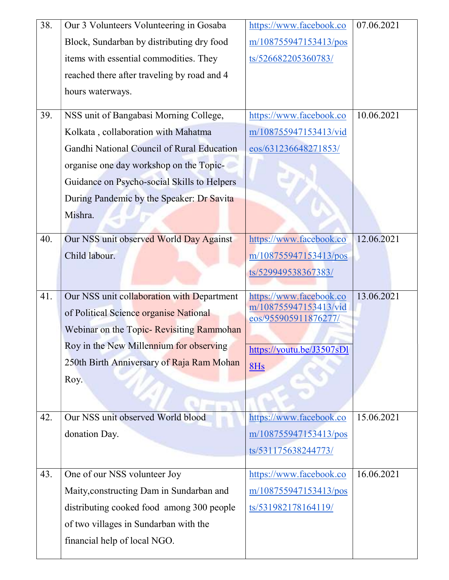| 38. | Our 3 Volunteers Volunteering in Gosaba                                             | https://www.facebook.co                          | 07.06.2021 |
|-----|-------------------------------------------------------------------------------------|--------------------------------------------------|------------|
|     | Block, Sundarban by distributing dry food                                           | m/108755947153413/pos                            |            |
|     | items with essential commodities. They                                              | ts/526682205360783/                              |            |
|     | reached there after traveling by road and 4                                         |                                                  |            |
|     | hours waterways.                                                                    |                                                  |            |
| 39. | NSS unit of Bangabasi Morning College,                                              | https://www.facebook.co                          | 10.06.2021 |
|     | Kolkata, collaboration with Mahatma                                                 | m/108755947153413/vid                            |            |
|     | Gandhi National Council of Rural Education                                          | eos/631236648271853/                             |            |
|     | organise one day workshop on the Topic-                                             |                                                  |            |
|     | Guidance on Psycho-social Skills to Helpers                                         |                                                  |            |
|     | During Pandemic by the Speaker: Dr Savita                                           |                                                  |            |
|     | Mishra.                                                                             |                                                  |            |
| 40. | Our NSS unit observed World Day Against                                             | https://www.facebook.co                          | 12.06.2021 |
|     | Child labour.                                                                       | m/108755947153413/pos                            |            |
|     |                                                                                     | ts/529949538367383/                              |            |
|     |                                                                                     |                                                  |            |
| 41. |                                                                                     |                                                  | 13.06.2021 |
|     | Our NSS unit collaboration with Department                                          | https://www.facebook.co<br>m/108755947153413/vid |            |
|     | of Political Science organise National<br>Webinar on the Topic- Revisiting Rammohan | eos/955905911876277/                             |            |
|     | Roy in the New Millennium for observing                                             |                                                  |            |
|     | 250th Birth Anniversary of Raja Ram Mohan                                           | https://youtu.be/J3507sDl                        |            |
|     | Roy.                                                                                | 8Hs                                              |            |
|     |                                                                                     |                                                  |            |
|     |                                                                                     |                                                  |            |
| 42. | Our NSS unit observed World blood                                                   | https://www.facebook.co                          | 15.06.2021 |
|     | donation Day.                                                                       | m/108755947153413/pos                            |            |
|     |                                                                                     | ts/531175638244773/                              |            |
| 43. | One of our NSS volunteer Joy                                                        | https://www.facebook.co                          | 16.06.2021 |
|     | Maity, constructing Dam in Sundarban and                                            | m/108755947153413/pos                            |            |
|     | distributing cooked food among 300 people                                           | ts/531982178164119/                              |            |
|     | of two villages in Sundarban with the                                               |                                                  |            |
|     | financial help of local NGO.                                                        |                                                  |            |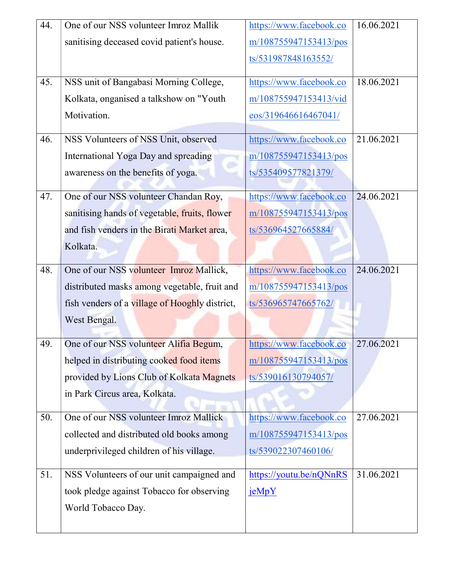| 44. | One of our NSS volunteer Imroz Mallik          | https://www.facebook.co | 16.06.2021 |
|-----|------------------------------------------------|-------------------------|------------|
|     | sanitising deceased covid patient's house.     | m/108755947153413/pos   |            |
|     |                                                | ts/531987848163552/     |            |
|     |                                                |                         |            |
| 45. | NSS unit of Bangabasi Morning College,         | https://www.facebook.co | 18.06.2021 |
|     | Kolkata, onganised a talkshow on "Youth        | m/108755947153413/vid   |            |
|     | Motivation.                                    | eos/319646616467041/    |            |
| 46. | NSS Volunteers of NSS Unit, observed           | https://www.facebook.co | 21.06.2021 |
|     | International Yoga Day and spreading           | m/108755947153413/pos   |            |
|     | awareness on the benefits of yoga.             | ts/535409577821379/     |            |
| 47. | One of our NSS volunteer Chandan Roy,          | https://www.facebook.co | 24.06.2021 |
|     | sanitising hands of vegetable, fruits, flower  | m/108755947153413/pos   |            |
|     | and fish venders in the Birati Market area,    | ts/536964527665884/     |            |
|     | Kolkata.                                       |                         |            |
| 48. | One of our NSS volunteer Imroz Mallick,        | https://www.facebook.co | 24.06.2021 |
|     | distributed masks among vegetable, fruit and   | m/108755947153413/pos   |            |
|     | fish venders of a village of Hooghly district, | ts/536965747665762/     |            |
|     | West Bengal.                                   |                         |            |
| 49. | One of our NSS volunteer Alifia Begum,         | https://www.facebook.co | 27.06.2021 |
|     | helped in distributing cooked food items       | m/108755947153413/pos   |            |
|     | provided by Lions Club of Kolkata Magnets      | ts/539016130794057/     |            |
|     | in Park Circus area, Kolkata.                  |                         |            |
|     |                                                |                         |            |
| 50. | One of our NSS volunteer Imroz Mallick         | https://www.facebook.co | 27.06.2021 |
|     | collected and distributed old books among      | m/108755947153413/pos   |            |
|     | underprivileged children of his village.       | ts/539022307460106/     |            |
| 51. | NSS Volunteers of our unit campaigned and      | https://youtu.be/nQNnRS | 31.06.2021 |
|     | took pledge against Tobacco for observing      | jeMpY                   |            |
|     | World Tobacco Day.                             |                         |            |
|     |                                                |                         |            |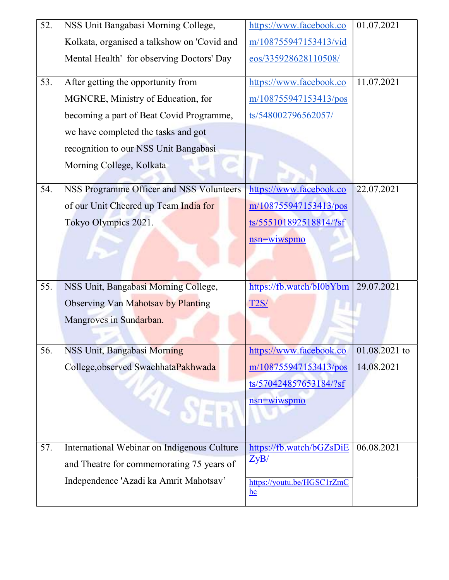| 52. | NSS Unit Bangabasi Morning College,         | https://www.facebook.co                     | 01.07.2021      |
|-----|---------------------------------------------|---------------------------------------------|-----------------|
|     | Kolkata, organised a talkshow on 'Covid and | m/108755947153413/vid                       |                 |
|     | Mental Health' for observing Doctors' Day   | eos/335928628110508/                        |                 |
| 53. | After getting the opportunity from          | https://www.facebook.co                     | 11.07.2021      |
|     | MGNCRE, Ministry of Education, for          | m/108755947153413/pos                       |                 |
|     | becoming a part of Beat Covid Programme,    | ts/548002796562057/                         |                 |
|     | we have completed the tasks and got         |                                             |                 |
|     | recognition to our NSS Unit Bangabasi       |                                             |                 |
|     | Morning College, Kolkata                    |                                             |                 |
| 54. | NSS Programme Officer and NSS Volunteers    | https://www.facebook.co                     | 22.07.2021      |
|     | of our Unit Cheered up Team India for       | m/108755947153413/pos                       |                 |
|     | Tokyo Olympics 2021.                        | ts/555101892518814/?sf                      |                 |
|     |                                             | nsn=wiwspmo                                 |                 |
|     |                                             |                                             |                 |
| 55. | NSS Unit, Bangabasi Morning College,        | https://fb.watch/bI0bYbm                    | 29.07.2021      |
|     |                                             |                                             |                 |
|     | Observing Van Mahotsav by Planting          | <b>T2S/</b>                                 |                 |
|     | Mangroves in Sundarban.                     |                                             |                 |
| 56. | NSS Unit, Bangabasi Morning                 | https://www.facebook.co                     | $01.08.2021$ to |
|     | College, observed SwachhataPakhwada         | m/108755947153413/pos                       | 14.08.2021      |
|     |                                             | ts/570424857653184/?sf                      |                 |
|     |                                             | nsn=wiwspmo                                 |                 |
|     |                                             |                                             |                 |
|     |                                             |                                             |                 |
| 57. | International Webinar on Indigenous Culture | https://fb.watch/bGZsDiE                    | 06.08.2021      |
|     | and Theatre for commemorating 75 years of   | ZyB/                                        |                 |
|     | Independence 'Azadi ka Amrit Mahotsav'      | https://youtu.be/HGSC1rZmC<br>$\mathbf{hc}$ |                 |
|     |                                             |                                             |                 |
|     |                                             |                                             |                 |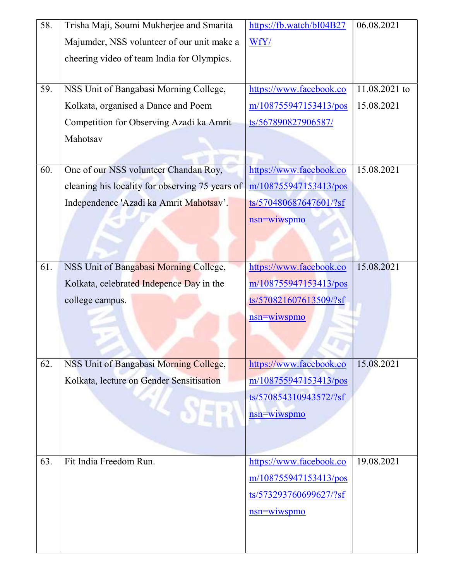| 58. | Trisha Maji, Soumi Mukherjee and Smarita        | https://fb.watch/bI04B27 | 06.08.2021    |
|-----|-------------------------------------------------|--------------------------|---------------|
|     | Majumder, NSS volunteer of our unit make a      | WfY/                     |               |
|     | cheering video of team India for Olympics.      |                          |               |
|     |                                                 |                          |               |
| 59. | NSS Unit of Bangabasi Morning College,          | https://www.facebook.co  | 11.08.2021 to |
|     | Kolkata, organised a Dance and Poem             | m/108755947153413/pos    | 15.08.2021    |
|     | Competition for Observing Azadi ka Amrit        | ts/567890827906587/      |               |
|     | Mahotsav                                        |                          |               |
|     |                                                 |                          |               |
| 60. | One of our NSS volunteer Chandan Roy,           | https://www.facebook.co  | 15.08.2021    |
|     | cleaning his locality for observing 75 years of | m/108755947153413/pos    |               |
|     | Independence 'Azadi ka Amrit Mahotsav'.         | ts/570480687647601/?sf   |               |
|     |                                                 | nsn=wiwspmo              |               |
|     |                                                 |                          |               |
|     |                                                 |                          |               |
| 61. | NSS Unit of Bangabasi Morning College,          | https://www.facebook.co  | 15.08.2021    |
|     | Kolkata, celebrated Indepence Day in the        | m/108755947153413/pos    |               |
|     | college campus.                                 | ts/570821607613509/?sf   |               |
|     |                                                 | nsn=wiwspmo              |               |
|     |                                                 |                          |               |
|     |                                                 |                          |               |
| 62. | NSS Unit of Bangabasi Morning College,          | https://www.facebook.co  | 15.08.2021    |
|     | Kolkata, lecture on Gender Sensitisation        | m/108755947153413/pos    |               |
|     |                                                 | ts/570854310943572/?sf   |               |
|     |                                                 | nsn=wiwspmo              |               |
|     |                                                 |                          |               |
|     |                                                 |                          |               |
| 63. | Fit India Freedom Run.                          | https://www.facebook.co  | 19.08.2021    |
|     |                                                 | m/108755947153413/pos    |               |
|     |                                                 | ts/573293760699627/?sf   |               |
|     |                                                 | nsn=wiwspmo              |               |
|     |                                                 |                          |               |
|     |                                                 |                          |               |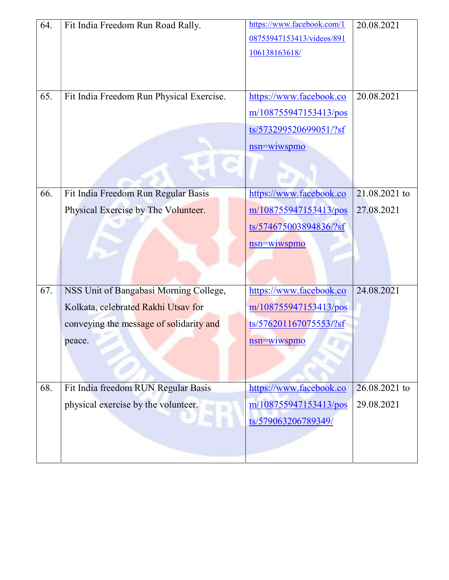| 64.<br>65. | Fit India Freedom Run Road Rally.<br>Fit India Freedom Run Physical Exercise.                                                      | https://www.facebook.com/1<br>08755947153413/videos/891<br>106138163618/<br>https://www.facebook.co<br>m/108755947153413/pos<br>ts/573299520699051/?sf<br>nsn=wiwspmo | 20.08.2021<br>20.08.2021    |
|------------|------------------------------------------------------------------------------------------------------------------------------------|-----------------------------------------------------------------------------------------------------------------------------------------------------------------------|-----------------------------|
| 66.        | Fit India Freedom Run Regular Basis<br>Physical Exercise by The Volunteer.                                                         | https://www.facebook.co<br>m/108755947153413/pos<br>ts/574675003894836/?sf<br>nsn=wiwspmo                                                                             | 21.08.2021 to<br>27.08.2021 |
| 67.        | NSS Unit of Bangabasi Morning College,<br>Kolkata, celebrated Rakhi Utsav for<br>conveying the message of solidarity and<br>peace. | https://www.facebook.co<br>m/108755947153413/pos<br>ts/576201167075553/?sf<br>nsn=wiwspmo                                                                             | 24.08.2021                  |
| 68.        | Fit India freedom RUN Regular Basis<br>physical exercise by the volunteer.                                                         | https://www.facebook.co<br>m/108755947153413/pos<br>ts/579063206789349/                                                                                               | 26.08.2021 to<br>29.08.2021 |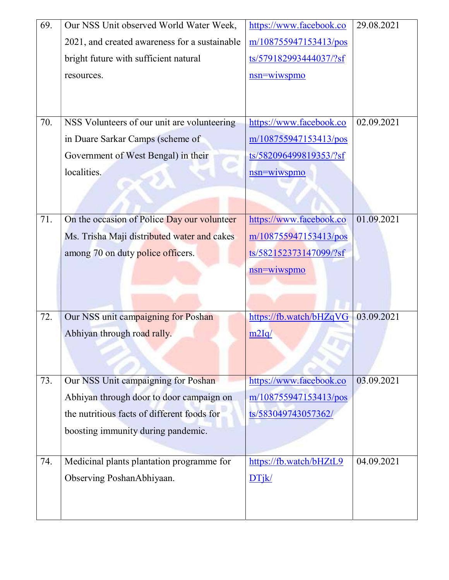| 69. | Our NSS Unit observed World Water Week,       | https://www.facebook.co | 29.08.2021 |
|-----|-----------------------------------------------|-------------------------|------------|
|     | 2021, and created awareness for a sustainable | m/108755947153413/pos   |            |
|     | bright future with sufficient natural         | ts/579182993444037/?sf  |            |
|     | resources.                                    | nsn=wiwspmo             |            |
|     |                                               |                         |            |
|     |                                               |                         |            |
| 70. | NSS Volunteers of our unit are volunteering   | https://www.facebook.co | 02.09.2021 |
|     | in Duare Sarkar Camps (scheme of              | m/108755947153413/pos   |            |
|     | Government of West Bengal) in their           | ts/582096499819353/?sf  |            |
|     | localities.                                   | nsn=wiwspmo             |            |
|     |                                               |                         |            |
|     |                                               |                         |            |
| 71. | On the occasion of Police Day our volunteer   | https://www.facebook.co | 01.09.2021 |
|     | Ms. Trisha Maji distributed water and cakes   | m/108755947153413/pos   |            |
|     | among 70 on duty police officers.             | ts/582152373147099/?sf  |            |
|     |                                               | <u>nsn=wiwspmo</u>      |            |
|     |                                               |                         |            |
|     |                                               |                         |            |
| 72. | Our NSS unit campaigning for Poshan           | https://fb.watch/bHZqVG | 03.09.2021 |
|     | Abhiyan through road rally.                   | m2Iq/                   |            |
|     |                                               |                         |            |
|     |                                               |                         |            |
| 73. | Our NSS Unit campaigning for Poshan           | https://www.facebook.co | 03.09.2021 |
|     | Abhiyan through door to door campaign on      | m/108755947153413/pos   |            |
|     | the nutritious facts of different foods for   | ts/583049743057362/     |            |
|     | boosting immunity during pandemic.            |                         |            |
|     |                                               |                         |            |
| 74. | Medicinal plants plantation programme for     | https://fb.watch/bHZtL9 | 04.09.2021 |
|     | Observing PoshanAbhiyaan.                     | DTik/                   |            |
|     |                                               |                         |            |
|     |                                               |                         |            |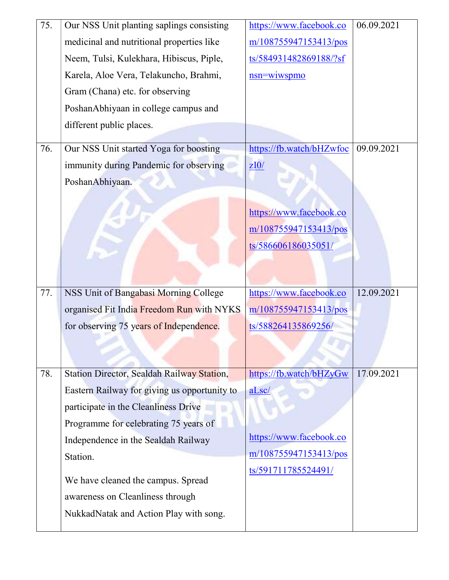| 75. | Our NSS Unit planting saplings consisting    | https://www.facebook.co  | 06.09.2021 |
|-----|----------------------------------------------|--------------------------|------------|
|     | medicinal and nutritional properties like    | m/108755947153413/pos    |            |
|     | Neem, Tulsi, Kulekhara, Hibiscus, Piple,     | ts/584931482869188/?sf   |            |
|     | Karela, Aloe Vera, Telakuncho, Brahmi,       | nsn=wiwspmo              |            |
|     | Gram (Chana) etc. for observing              |                          |            |
|     | PoshanAbhiyaan in college campus and         |                          |            |
|     | different public places.                     |                          |            |
| 76. | Our NSS Unit started Yoga for boosting       | https://fb.watch/bHZwfoc | 09.09.2021 |
|     | immunity during Pandemic for observing       | ZI0/                     |            |
|     | PoshanAbhiyaan.                              |                          |            |
|     |                                              |                          |            |
|     |                                              | https://www.facebook.co  |            |
|     |                                              | m/108755947153413/pos    |            |
|     |                                              | ts/586606186035051/      |            |
|     |                                              |                          |            |
|     |                                              |                          |            |
| 77. | NSS Unit of Bangabasi Morning College        | https://www.facebook.co  | 12.09.2021 |
|     | organised Fit India Freedom Run with NYKS    | m/108755947153413/pos    |            |
|     | for observing 75 years of Independence.      | ts/588264135869256/      |            |
|     |                                              |                          |            |
|     |                                              |                          |            |
| 78. | Station Director, Sealdah Railway Station,   | https://fb.watch/bHZyGw  | 17.09.2021 |
|     | Eastern Railway for giving us opportunity to | aLsc/                    |            |
|     | participate in the Cleanliness Drive         |                          |            |
|     | Programme for celebrating 75 years of        |                          |            |
|     | Independence in the Sealdah Railway          | https://www.facebook.co  |            |
|     | Station.                                     | m/108755947153413/pos    |            |
|     | We have cleaned the campus. Spread           | ts/591711785524491/      |            |
|     | awareness on Cleanliness through             |                          |            |
|     | NukkadNatak and Action Play with song.       |                          |            |
|     |                                              |                          |            |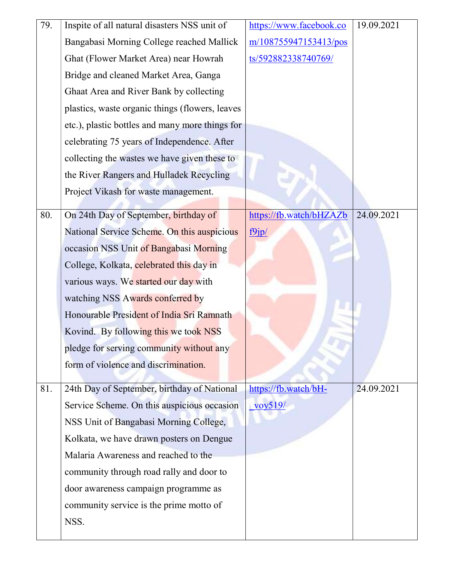| 79. | Inspite of all natural disasters NSS unit of    | https://www.facebook.co           | 19.09.2021 |
|-----|-------------------------------------------------|-----------------------------------|------------|
|     | Bangabasi Morning College reached Mallick       | m/108755947153413/pos             |            |
|     | Ghat (Flower Market Area) near Howrah           | ts/592882338740769/               |            |
|     | Bridge and cleaned Market Area, Ganga           |                                   |            |
|     | Ghaat Area and River Bank by collecting         |                                   |            |
|     | plastics, waste organic things (flowers, leaves |                                   |            |
|     | etc.), plastic bottles and many more things for |                                   |            |
|     | celebrating 75 years of Independence. After     |                                   |            |
|     | collecting the wastes we have given these to    |                                   |            |
|     | the River Rangers and Hulladek Recycling        |                                   |            |
|     | Project Vikash for waste management.            |                                   |            |
| 80. | On 24th Day of September, birthday of           | https://fb.watch/bHZAZb           | 24.09.2021 |
|     | National Service Scheme. On this auspicious     | f9jp/                             |            |
|     | occasion NSS Unit of Bangabasi Morning          |                                   |            |
|     | College, Kolkata, celebrated this day in        |                                   |            |
|     | various ways. We started our day with           |                                   |            |
|     | watching NSS Awards conferred by                |                                   |            |
|     | Honourable President of India Sri Ramnath       |                                   |            |
|     | Kovind. By following this we took NSS           |                                   |            |
|     | pledge for serving community without any        |                                   |            |
|     | form of violence and discrimination.            |                                   |            |
|     |                                                 |                                   |            |
| 81. | 24th Day of September, birthday of National     | https://fb.watch/bH-              | 24.09.2021 |
|     | Service Scheme. On this auspicious occasion     | $\frac{\frac{1}{2}}{\frac{1}{2}}$ |            |
|     | NSS Unit of Bangabasi Morning College,          |                                   |            |
|     | Kolkata, we have drawn posters on Dengue        |                                   |            |
|     | Malaria Awareness and reached to the            |                                   |            |
|     | community through road rally and door to        |                                   |            |
|     | door awareness campaign programme as            |                                   |            |
|     | community service is the prime motto of         |                                   |            |
|     | NSS.                                            |                                   |            |
|     |                                                 |                                   |            |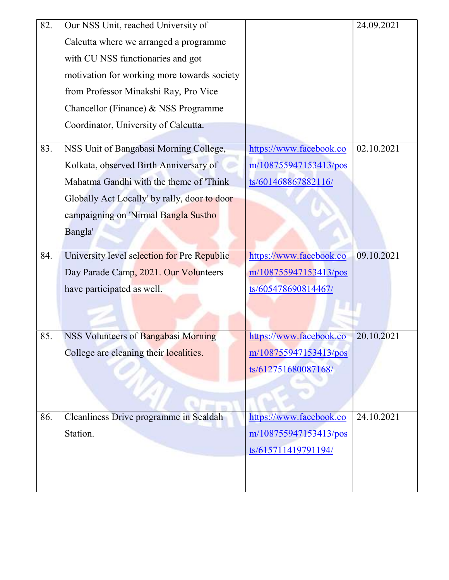| 82. | Our NSS Unit, reached University of          |                         | 24.09.2021 |
|-----|----------------------------------------------|-------------------------|------------|
|     | Calcutta where we arranged a programme       |                         |            |
|     | with CU NSS functionaries and got            |                         |            |
|     | motivation for working more towards society  |                         |            |
|     | from Professor Minakshi Ray, Pro Vice        |                         |            |
|     | Chancellor (Finance) & NSS Programme         |                         |            |
|     | Coordinator, University of Calcutta.         |                         |            |
|     |                                              |                         |            |
| 83. | NSS Unit of Bangabasi Morning College,       | https://www.facebook.co | 02.10.2021 |
|     | Kolkata, observed Birth Anniversary of       | m/108755947153413/pos   |            |
|     | Mahatma Gandhi with the theme of 'Think      | ts/601468867882116/     |            |
|     | Globally Act Locally' by rally, door to door |                         |            |
|     | campaigning on 'Nirmal Bangla Sustho         |                         |            |
|     | Bangla'                                      |                         |            |
|     |                                              |                         |            |
| 84. | University level selection for Pre Republic  | https://www.facebook.co | 09.10.2021 |
|     | Day Parade Camp, 2021. Our Volunteers        | m/108755947153413/pos   |            |
|     | have participated as well.                   | ts/605478690814467/     |            |
|     |                                              |                         |            |
|     |                                              |                         |            |
| 85. | NSS Volunteers of Bangabasi Morning          | https://www.facebook.co | 20.10.2021 |
|     | College are cleaning their localities.       | m/108755947153413/pos   |            |
|     |                                              | ts/612751680087168/     |            |
|     |                                              |                         |            |
|     |                                              |                         |            |
| 86. | Cleanliness Drive programme in Sealdah       | https://www.facebook.co | 24.10.2021 |
|     | Station.                                     | m/108755947153413/pos   |            |
|     |                                              | ts/615711419791194/     |            |
|     |                                              |                         |            |
|     |                                              |                         |            |
|     |                                              |                         |            |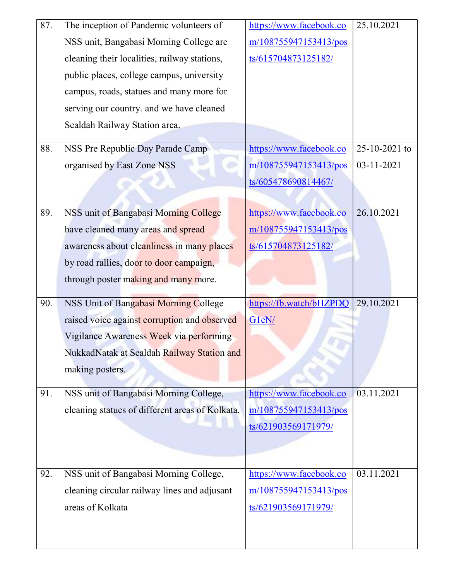| 87. | The inception of Pandemic volunteers of         | https://www.facebook.co | 25.10.2021    |
|-----|-------------------------------------------------|-------------------------|---------------|
|     | NSS unit, Bangabasi Morning College are         | m/108755947153413/pos   |               |
|     | cleaning their localities, railway stations,    | ts/615704873125182/     |               |
|     | public places, college campus, university       |                         |               |
|     | campus, roads, statues and many more for        |                         |               |
|     | serving our country. and we have cleaned        |                         |               |
|     | Sealdah Railway Station area.                   |                         |               |
| 88. | NSS Pre Republic Day Parade Camp                | https://www.facebook.co | 25-10-2021 to |
|     |                                                 |                         |               |
|     | organised by East Zone NSS                      | m/108755947153413/pos   | 03-11-2021    |
|     |                                                 | ts/605478690814467/     |               |
|     |                                                 |                         |               |
| 89. | NSS unit of Bangabasi Morning College           | https://www.facebook.co | 26.10.2021    |
|     | have cleaned many areas and spread              | m/108755947153413/pos   |               |
|     | awareness about cleanliness in many places      | ts/615704873125182/     |               |
|     | by road rallies, door to door campaign,         |                         |               |
|     | through poster making and many more.            |                         |               |
| 90. | NSS Unit of Bangabasi Morning College           | https://fb.watch/bHZPDQ | 29.10.2021    |
|     | raised voice against corruption and observed    | G1eN/                   |               |
|     | Vigilance Awareness Week via performing         |                         |               |
|     | NukkadNatak at Sealdah Railway Station and      |                         |               |
|     | making posters.                                 |                         |               |
|     |                                                 |                         | 03.11.2021    |
| 91. | NSS unit of Bangabasi Morning College,          | https://www.facebook.co |               |
|     | cleaning statues of different areas of Kolkata. | m/108755947153413/pos   |               |
|     |                                                 | ts/621903569171979/     |               |
|     |                                                 |                         |               |
|     |                                                 |                         |               |
| 92. | NSS unit of Bangabasi Morning College,          | https://www.facebook.co | 03.11.2021    |
|     | cleaning circular railway lines and adjusant    | m/108755947153413/pos   |               |
|     | areas of Kolkata                                | ts/621903569171979/     |               |
|     |                                                 |                         |               |
|     |                                                 |                         |               |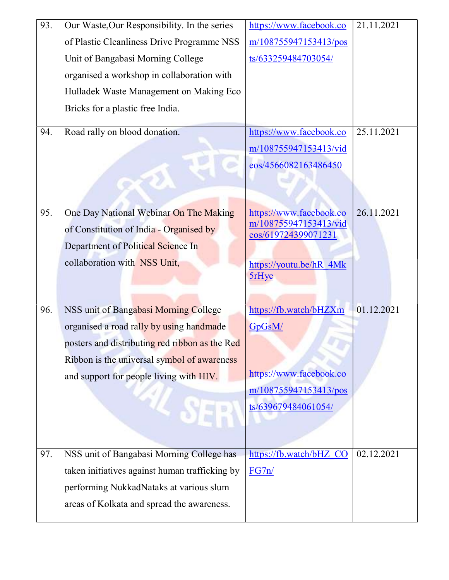| 93. | Our Waste, Our Responsibility. In the series   | https://www.facebook.co                          | 21.11.2021 |
|-----|------------------------------------------------|--------------------------------------------------|------------|
|     | of Plastic Cleanliness Drive Programme NSS     | m/108755947153413/pos                            |            |
|     | Unit of Bangabasi Morning College              | ts/633259484703054/                              |            |
|     | organised a workshop in collaboration with     |                                                  |            |
|     | Hulladek Waste Management on Making Eco        |                                                  |            |
|     | Bricks for a plastic free India.               |                                                  |            |
| 94. | Road rally on blood donation.                  | https://www.facebook.co                          | 25.11.2021 |
|     |                                                | m/108755947153413/vid                            |            |
|     |                                                | eos/4566082163486450                             |            |
|     |                                                |                                                  |            |
|     |                                                |                                                  |            |
| 95. | One Day National Webinar On The Making         | https://www.facebook.co<br>m/108755947153413/vid | 26.11.2021 |
|     | of Constitution of India - Organised by        | eos/619724399071231                              |            |
|     | Department of Political Science In             |                                                  |            |
|     | collaboration with NSS Unit,                   | https://youtu.be/hR 4Mk                          |            |
|     |                                                | <b>5rHyc</b>                                     |            |
|     |                                                |                                                  |            |
| 96. | NSS unit of Bangabasi Morning College          | https://fb.watch/bHZXm                           | 01.12.2021 |
|     | organised a road rally by using handmade       | GpGsM/                                           |            |
|     | posters and distributing red ribbon as the Red |                                                  |            |
|     | Ribbon is the universal symbol of awareness    |                                                  |            |
|     | and support for people living with HIV.        | https://www.facebook.co                          |            |
|     |                                                | m/108755947153413/pos                            |            |
|     |                                                | ts/639679484061054/                              |            |
|     |                                                |                                                  |            |
|     |                                                |                                                  |            |
| 97. | NSS unit of Bangabasi Morning College has      | https://fb.watch/bHZ CO                          | 02.12.2021 |
|     | taken initiatives against human trafficking by | FG7n/                                            |            |
|     | performing NukkadNataks at various slum        |                                                  |            |
|     | areas of Kolkata and spread the awareness.     |                                                  |            |
|     |                                                |                                                  |            |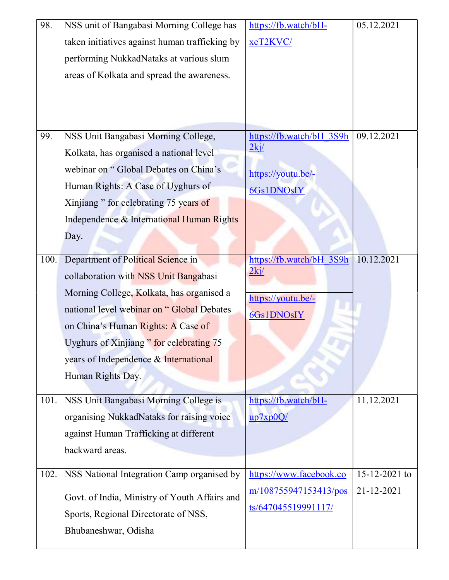| 98.  | NSS unit of Bangabasi Morning College has      | https://fb.watch/bH-             | 05.12.2021    |
|------|------------------------------------------------|----------------------------------|---------------|
|      | taken initiatives against human trafficking by | xeT2KVC/                         |               |
|      | performing NukkadNataks at various slum        |                                  |               |
|      | areas of Kolkata and spread the awareness.     |                                  |               |
|      |                                                |                                  |               |
|      |                                                |                                  |               |
|      |                                                |                                  |               |
| 99.  | NSS Unit Bangabasi Morning College,            | https://fb.watch/bH 3S9h         | 09.12.2021    |
|      | Kolkata, has organised a national level        | 2kj/                             |               |
|      | webinar on "Global Debates on China's          | https://youtu.be/-               |               |
|      | Human Rights: A Case of Uyghurs of             | 6Gs1DNOsIY                       |               |
|      | Xinjiang " for celebrating 75 years of         |                                  |               |
|      | Independence & International Human Rights      |                                  |               |
|      | Day.                                           |                                  |               |
| 100. |                                                |                                  | 10.12.2021    |
|      | Department of Political Science in             | https://fb.watch/bH 3S9h<br>2kj/ |               |
|      | collaboration with NSS Unit Bangabasi          |                                  |               |
|      | Morning College, Kolkata, has organised a      | https://youtu.be/-               |               |
|      | national level webinar on "Global Debates      | 6Gs1DNOsIY                       |               |
|      | on China's Human Rights: A Case of             |                                  |               |
|      | Uyghurs of Xinjiang" for celebrating 75        |                                  |               |
|      | years of Independence & International          |                                  |               |
|      | Human Rights Day.                              |                                  |               |
| 101. | NSS Unit Bangabasi Morning College is          | https://fb.watch/bH-             | 11.12.2021    |
|      | organising NukkadNataks for raising voice      | up7xp0Q/                         |               |
|      | against Human Trafficking at different         |                                  |               |
|      | backward areas.                                |                                  |               |
|      |                                                |                                  |               |
| 102. | NSS National Integration Camp organised by     | https://www.facebook.co          | 15-12-2021 to |
|      | Govt. of India, Ministry of Youth Affairs and  | m/108755947153413/pos            | 21-12-2021    |
|      | Sports, Regional Directorate of NSS,           | ts/647045519991117/              |               |
|      | Bhubaneshwar, Odisha                           |                                  |               |
|      |                                                |                                  |               |